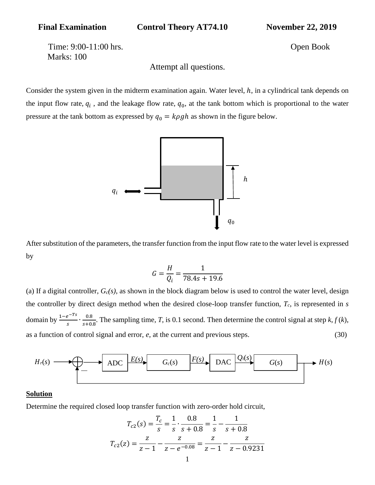Final Examination Control Theory AT74.10 November 22, 2019

Time: 9:00-11:00 hrs. Open Book Marks: 100

Attempt all questions.

Consider the system given in the midterm examination again. Water level,  $h$ , in a cylindrical tank depends on the input flow rate,  $q_i$ , and the leakage flow rate,  $q_0$ , at the tank bottom which is proportional to the water pressure at the tank bottom as expressed by  $q_0 = k \rho g h$  as shown in the figure below.



After substitution of the parameters, the transfer function from the input flow rate to the water level is expressed by

$$
G = \frac{H}{Q_i} = \frac{1}{78.4s + 19.6}
$$

(a) If a digital controller, *Gc(s)*, as shown in the block diagram below is used to control the water level, design the controller by direct design method when the desired close-loop transfer function, *Tc*, is represented in *s*  domain by  $\frac{1-e^{-Ts}}{s}$  $rac{e^{-Ts}}{s} \cdot \frac{0.8}{s+0}$  $\frac{0.6}{s+0.8}$ . The sampling time, *T*, is 0.1 second. Then determine the control signal at step *k*, *f* (*k*), as a function of control signal and error, *e*, at the current and previous steps. (30)



## **Solution**

Determine the required closed loop transfer function with zero-order hold circuit,

$$
T_{c2}(s) = \frac{T_c}{s} = \frac{1}{s} \cdot \frac{0.8}{s + 0.8} = \frac{1}{s} - \frac{1}{s + 0.8}
$$

$$
T_{c2}(z) = \frac{z}{z - 1} - \frac{z}{z - e^{-0.08}} = \frac{z}{z - 1} - \frac{z}{z - 0.9231}
$$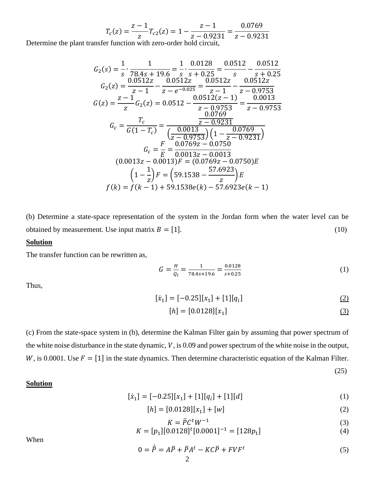$$
T_c(z) = \frac{z - 1}{z} T_{c2}(z) = 1 - \frac{z - 1}{z - 0.9231} = \frac{0.0769}{z - 0.9231}
$$

Determine the plant transfer function with zero-order hold circuit,

$$
G_2(s) = \frac{1}{s} \cdot \frac{1}{78.4s + 19.6} = \frac{1}{s} \cdot \frac{0.0128}{s + 0.25} = \frac{0.0512}{s} - \frac{0.0512}{s + 0.25}
$$
  
\n
$$
G_2(z) = \frac{0.0512z}{z - 1} - \frac{0.0512z}{z - e^{-0.025}} = \frac{0.0512z}{z - 1} - \frac{0.0512z}{z - 0.9753}
$$
  
\n
$$
G(z) = \frac{z - 1}{z}G_2(z) = 0.0512 - \frac{0.0512(z - 1)}{z - 0.9753} = \frac{0.0013}{z - 0.9753}
$$
  
\n
$$
G_c = \frac{T_c}{G(1 - T_c)} = \frac{\frac{0.0013}{z - 0.9231}}{(\frac{0.0013}{z - 0.9753})(1 - \frac{0.0769}{z - 0.9231})}
$$
  
\n
$$
G_c = \frac{F}{E} = \frac{0.0769z - 0.0750}{0.0013z - 0.0013}
$$
  
\n
$$
(0.0013z - 0.0013)F = (0.0769z - 0.0750)E
$$
  
\n
$$
\left(1 - \frac{1}{z}\right)F = (59.1538 - \frac{57.6923}{z})E
$$
  
\n
$$
f(k) = f(k - 1) + 59.1538e(k) - 57.6923e(k - 1)
$$

(b) Determine a state-space representation of the system in the Jordan form when the water level can be obtained by measurement. Use input matrix  $B = [1]$ . (10)

## **Solution**

The transfer function can be rewritten as,

$$
G = \frac{H}{Q_i} = \frac{1}{78.4s + 19.6} = \frac{0.0128}{s + 0.25}
$$
 (1)

Thus,

$$
[\dot{x}_1] = [-0.25][x_1] + [1][q_i] \tag{2}
$$

$$
[h] = [0.0128][x_1] \tag{3}
$$

(25)

(c) From the state-space system in (b), determine the Kalman Filter gain by assuming that power spectrum of the white noise disturbance in the state dynamic,  $V$ , is 0.09 and power spectrum of the white noise in the output, W, is 0.0001. Use  $F = [1]$  in the state dynamics. Then determine characteristic equation of the Kalman Filter.

### **Solution**

$$
[\dot{x}_1] = [-0.25][x_1] + [1][q_i] + [1][d] \tag{1}
$$

$$
[h] = [0.0128][x1] + [w]
$$
 (2)

$$
K = \overline{P}C^tW^{-1} \tag{3}
$$

$$
K = [p1][0.0128]t [0.0001]-1 = [128p1]
$$
\n(4)

When

$$
0 = \dot{\bar{P}} = A\bar{P} + \bar{P}A^t - KC\bar{P} + FVF^t \tag{5}
$$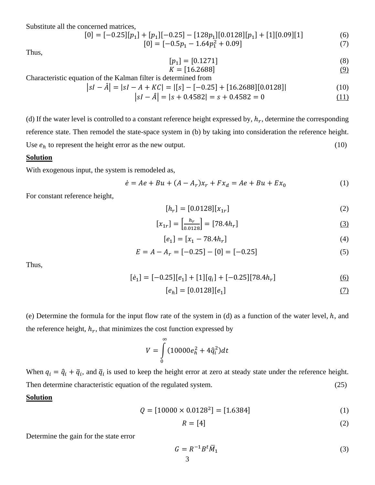Substitute all the concerned matrices,

$$
[0] = [-0.25][p1] + [p1][-0.25] - [128p1][0.0128][p1] + [1][0.09][1]
$$
 (6)

$$
[0] = [-0.5p_1 - 1.64p_1^2 + 0.09]
$$
\n<sup>(7)</sup>

Thus,

$$
[p_1] = [0.1271] \tag{8}
$$

$$
K = [16.2688]
$$
 (9)

Characteristic equation of the Kalman filter is determined from

$$
|sI - \hat{A}| = |sI - A + KC| = |[s] - [-0.25] + [16.2688][0.0128]|
$$
\n<sup>(10)</sup>

$$
|sI - \hat{A}| = |s + 0.4582| = s + 0.4582 = 0
$$
\n(11)

(d) If the water level is controlled to a constant reference height expressed by,  $h_r$ , determine the corresponding reference state. Then remodel the state-space system in (b) by taking into consideration the reference height. Use  $e_h$  to represent the height error as the new output. (10)

#### **Solution**

With exogenous input, the system is remodeled as,

$$
\dot{e} = Ae + Bu + (A - A_r)x_r + Fx_d = Ae + Bu + Ex_0
$$
 (1)

For constant reference height,

$$
[h_r] = [0.0128][x_{1r}] \tag{2}
$$

$$
[x_{1r}] = \left[\frac{h_r}{0.0128}\right] = [78.4h_r]
$$
 (3)

$$
[e_1] = [x_1 - 78.4h_r] \tag{4}
$$

$$
E = A - A_r = [-0.25] - [0] = [-0.25]
$$
\n<sup>(5)</sup>

Thus,

$$
[e_1] = [-0.25][e_1] + [1][q_i] + [-0.25][78.4h_r]
$$
 (6)

$$
[e_h] = [0.0128][e_1] \tag{7}
$$

(e) Determine the formula for the input flow rate of the system in (d) as a function of the water level,  $h$ , and the reference height,  $h_r$ , that minimizes the cost function expressed by

$$
V = \int_{0}^{\infty} (10000 e_h^2 + 4 \hat{q}_i^2) dt
$$

When  $q_i = \hat{q}_i + \bar{q}_i$ , and  $\bar{q}_i$  is used to keep the height error at zero at steady state under the reference height. Then determine characteristic equation of the regulated system. (25)

# **Solution**

 $Q = [10000 \times 0.0128^2] = [1.6384]$  (1)

$$
R = [4] \tag{2}
$$

Determine the gain for the state error

$$
G = R^{-1} B^t \overline{M}_1 \tag{3}
$$